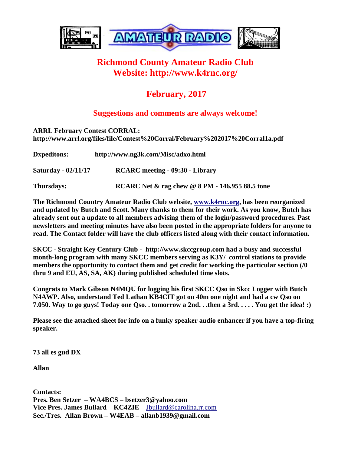

## **Richmond County Amateur Radio Club Website: http://www.k4rnc.org/**

## **February, 2017**

## **Suggestions and comments are always welcome!**

| <b>ARRL February Contest CORRAL:</b><br>http://www.arrl.org/files/file/Contest%20Corral/February%202017%20Corral1a.pdf |                                        |
|------------------------------------------------------------------------------------------------------------------------|----------------------------------------|
| <b>D</b> xpeditons:                                                                                                    | http://www.ng3k.com/Misc/adxo.html     |
| <b>Saturday - 02/11/17</b>                                                                                             | <b>RCARC</b> meeting - 09:30 - Library |

**Thursdays: RCARC Net & rag chew @ 8 PM - 146.955 88.5 tone**

**The Richmond Country Amateur Radio Club website, [www.k4rnc.org,](http://www.k4rnc.org/) has been reorganized and updated by Butch and Scott. Many thanks to them for their work. As you know, Butch has already sent out a update to all members advising them of the login/password procedures. Past newsletters and meeting minutes have also been posted in the appropriate folders for anyone to read. The Contact folder will have the club officers listed along with their contact information.**

**SKCC - Straight Key Century Club - http://www.skccgroup.com had a busy and successful month-long program with many SKCC members serving as K3Y/ control stations to provide members the opportunity to contact them and get credit for working the particular section (/0 thru 9 and EU, AS, SA, AK) during published scheduled time slots.** 

**Congrats to Mark Gibson N4MQU for logging his first SKCC Qso in Skcc Logger with Butch N4AWP. Also, understand Ted Lathan KB4CIT got on 40m one night and had a cw Qso on 7.050. Way to go guys! Today one Qso. . tomorrow a 2nd. . .then a 3rd. . . . . You get the idea! :)**

**Please see the attached sheet for info on a funky speaker audio enhancer if you have a top-firing speaker.**

**73 all es gud DX**

**Allan**

**Contacts: Pres. Ben Setzer – WA4BCS – bsetzer3@yahoo.com Vice Pres. James Bullard – KC4ZIE –** [Jbullard@carolina.rr.com](mailto:Jbullard@carolina.rr.com) **Sec./Tres. Allan Brown – W4EAB – allanb1939@gmail.com**